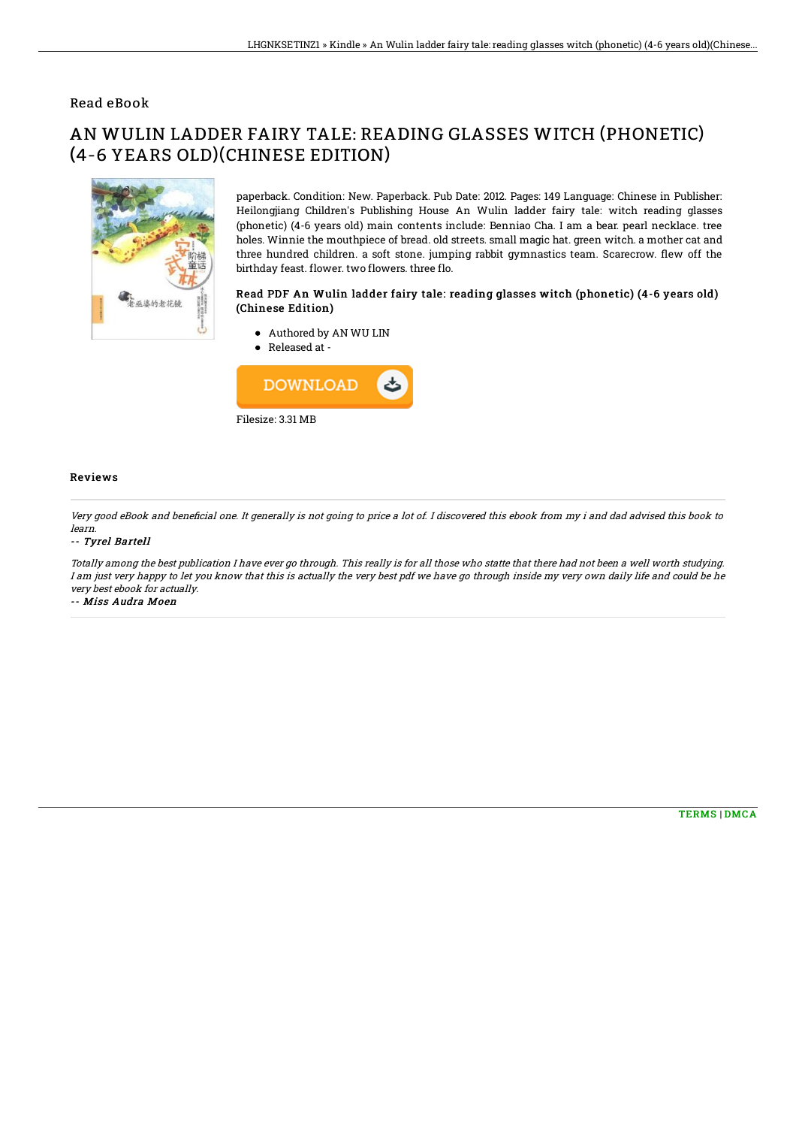## Read eBook

# AN WULIN LADDER FAIRY TALE: READING GLASSES WITCH (PHONETIC) (4-6 YEARS OLD)(CHINESE EDITION)



paperback. Condition: New. Paperback. Pub Date: 2012. Pages: 149 Language: Chinese in Publisher: Heilongjiang Children's Publishing House An Wulin ladder fairy tale: witch reading glasses (phonetic) (4-6 years old) main contents include: Benniao Cha. I am a bear. pearl necklace. tree holes. Winnie the mouthpiece of bread. old streets. small magic hat. green witch. a mother cat and three hundred children. a soft stone. jumping rabbit gymnastics team. Scarecrow. flew off the birthday feast. flower. two flowers. three flo.

### Read PDF An Wulin ladder fairy tale: reading glasses witch (phonetic) (4-6 years old) (Chinese Edition)

- Authored by AN WU LIN
- Released at -



### Reviews

Very good eBook and beneficial one. It generally is not going to price a lot of. I discovered this ebook from my i and dad advised this book to learn.

#### -- Tyrel Bartell

Totally among the best publication I have ever go through. This really is for all those who statte that there had not been <sup>a</sup> well worth studying. I am just very happy to let you know that this is actually the very best pdf we have go through inside my very own daily life and could be he very best ebook for actually.

-- Miss Audra Moen